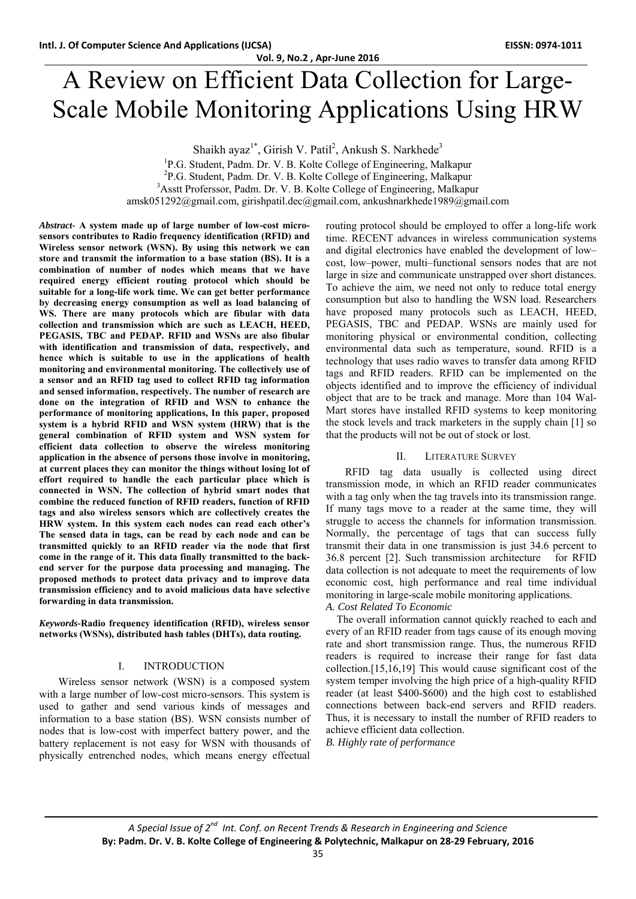**Vol. 9, No.2 , Apr‐June 2016**

# A Review on Efficient Data Collection for Large-Scale Mobile Monitoring Applications Using HRW

Shaikh ayaz<sup>1\*</sup>, Girish V. Patil<sup>2</sup>, Ankush S. Narkhede<sup>3</sup>

<sup>1</sup>P.G. Student, Padm. Dr. V. B. Kolte College of Engineering, Malkapur  $^{2}R$  G. Student, Badm. Dr. V. B. Kolte College of Engineering, Malkapur

<sup>2</sup>P.G. Student, Padm. Dr. V. B. Kolte College of Engineering, Malkapur

3 Asstt Proferssor, Padm. Dr. V. B. Kolte College of Engineering, Malkapur

amsk051292@gmail.com, girishpatil.dec@gmail.com, ankushnarkhede1989@gmail.com

*Abstract-* **A system made up of large number of low-cost microsensors contributes to Radio frequency identification (RFID) and Wireless sensor network (WSN). By using this network we can store and transmit the information to a base station (BS). It is a combination of number of nodes which means that we have required energy efficient routing protocol which should be suitable for a long-life work time. We can get better performance by decreasing energy consumption as well as load balancing of WS. There are many protocols which are fibular with data collection and transmission which are such as LEACH, HEED, PEGASIS, TBC and PEDAP. RFID and WSNs are also fibular with identification and transmission of data, respectively, and hence which is suitable to use in the applications of health monitoring and environmental monitoring. The collectively use of a sensor and an RFID tag used to collect RFID tag information and sensed information, respectively. The number of research are done on the integration of RFID and WSN to enhance the performance of monitoring applications, In this paper, proposed system is a hybrid RFID and WSN system (HRW) that is the general combination of RFID system and WSN system for efficient data collection to observe the wireless monitoring application in the absence of persons those involve in monitoring, at current places they can monitor the things without losing lot of effort required to handle the each particular place which is connected in WSN. The collection of hybrid smart nodes that combine the reduced function of RFID readers, function of RFID tags and also wireless sensors which are collectively creates the HRW system. In this system each nodes can read each other's The sensed data in tags, can be read by each node and can be transmitted quickly to an RFID reader via the node that first come in the range of it. This data finally transmitted to the backend server for the purpose data processing and managing. The proposed methods to protect data privacy and to improve data transmission efficiency and to avoid malicious data have selective forwarding in data transmission.** 

*Keywords-***Radio frequency identification (RFID), wireless sensor networks (WSNs), distributed hash tables (DHTs), data routing.** 

### I. INTRODUCTION

Wireless sensor network (WSN) is a composed system with a large number of low-cost micro-sensors. This system is used to gather and send various kinds of messages and information to a base station (BS). WSN consists number of nodes that is low-cost with imperfect battery power, and the battery replacement is not easy for WSN with thousands of physically entrenched nodes, which means energy effectual routing protocol should be employed to offer a long-life work time. RECENT advances in wireless communication systems and digital electronics have enabled the development of low– cost, low–power, multi–functional sensors nodes that are not large in size and communicate unstrapped over short distances. To achieve the aim, we need not only to reduce total energy consumption but also to handling the WSN load. Researchers have proposed many protocols such as LEACH, HEED, PEGASIS, TBC and PEDAP. WSNs are mainly used for monitoring physical or environmental condition, collecting environmental data such as temperature, sound. RFID is a technology that uses radio waves to transfer data among RFID tags and RFID readers. RFID can be implemented on the objects identified and to improve the efficiency of individual object that are to be track and manage. More than 104 Wal-Mart stores have installed RFID systems to keep monitoring the stock levels and track marketers in the supply chain [1] so that the products will not be out of stock or lost.

### II. LITERATURE SURVEY

RFID tag data usually is collected using direct transmission mode, in which an RFID reader communicates with a tag only when the tag travels into its transmission range. If many tags move to a reader at the same time, they will struggle to access the channels for information transmission. Normally, the percentage of tags that can success fully transmit their data in one transmission is just 34.6 percent to 36.8 percent [2]. Such transmission architecture for RFID data collection is not adequate to meet the requirements of low economic cost, high performance and real time individual monitoring in large-scale mobile monitoring applications.

### *A. Cost Related To Economic*

 The overall information cannot quickly reached to each and every of an RFID reader from tags cause of its enough moving rate and short transmission range. Thus, the numerous RFID readers is required to increase their range for fast data collection.[15,16,19] This would cause significant cost of the system temper involving the high price of a high-quality RFID reader (at least \$400-\$600) and the high cost to established connections between back-end servers and RFID readers. Thus, it is necessary to install the number of RFID readers to achieve efficient data collection.

*B. Highly rate of performance*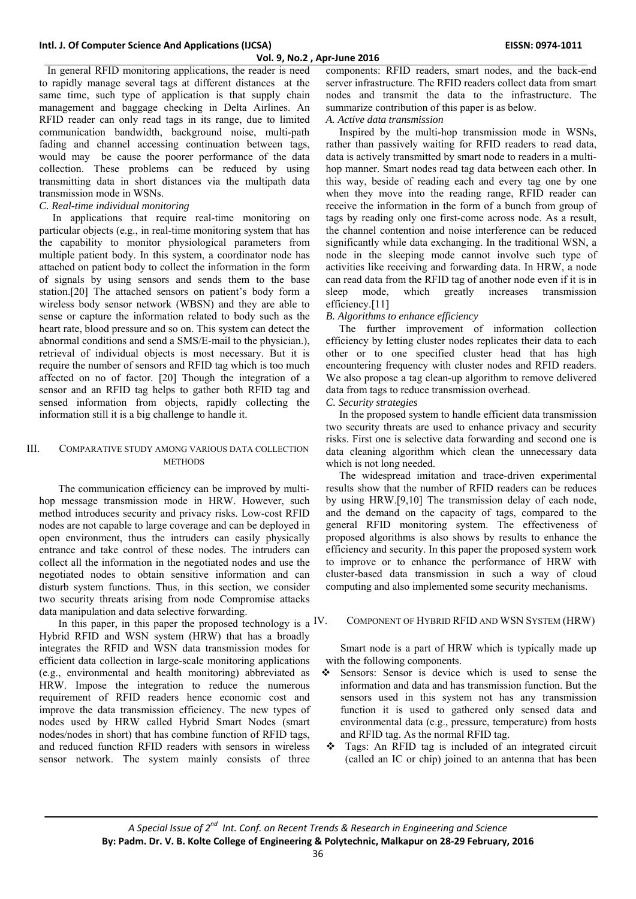In general RFID monitoring applications, the reader is need to rapidly manage several tags at different distances at the same time, such type of application is that supply chain management and baggage checking in Delta Airlines. An RFID reader can only read tags in its range, due to limited communication bandwidth, background noise, multi-path fading and channel accessing continuation between tags, would may be cause the poorer performance of the data collection. These problems can be reduced by using transmitting data in short distances via the multipath data transmission mode in WSNs.

## *C. Real-time individual monitoring*

 In applications that require real-time monitoring on particular objects (e.g., in real-time monitoring system that has the capability to monitor physiological parameters from multiple patient body. In this system, a coordinator node has attached on patient body to collect the information in the form of signals by using sensors and sends them to the base station.[20] The attached sensors on patient's body form a wireless body sensor network (WBSN) and they are able to sense or capture the information related to body such as the heart rate, blood pressure and so on. This system can detect the abnormal conditions and send a SMS/E-mail to the physician.), retrieval of individual objects is most necessary. But it is require the number of sensors and RFID tag which is too much affected on no of factor. [20] Though the integration of a sensor and an RFID tag helps to gather both RFID tag and sensed information from objects, rapidly collecting the information still it is a big challenge to handle it.

## III. COMPARATIVE STUDY AMONG VARIOUS DATA COLLECTION **METHODS**

The communication efficiency can be improved by multihop message transmission mode in HRW. However, such method introduces security and privacy risks. Low-cost RFID nodes are not capable to large coverage and can be deployed in open environment, thus the intruders can easily physically entrance and take control of these nodes. The intruders can collect all the information in the negotiated nodes and use the negotiated nodes to obtain sensitive information and can disturb system functions. Thus, in this section, we consider two security threats arising from node Compromise attacks data manipulation and data selective forwarding.

In this paper, in this paper the proposed technology is a  $IV$ . Hybrid RFID and WSN system (HRW) that has a broadly integrates the RFID and WSN data transmission modes for efficient data collection in large-scale monitoring applications (e.g., environmental and health monitoring) abbreviated as HRW. Impose the integration to reduce the numerous requirement of RFID readers hence economic cost and improve the data transmission efficiency. The new types of nodes used by HRW called Hybrid Smart Nodes (smart nodes/nodes in short) that has combine function of RFID tags, and reduced function RFID readers with sensors in wireless sensor network. The system mainly consists of three

components: RFID readers, smart nodes, and the back-end server infrastructure. The RFID readers collect data from smart nodes and transmit the data to the infrastructure. The summarize contribution of this paper is as below.

*A. Active data transmission* 

 Inspired by the multi-hop transmission mode in WSNs, rather than passively waiting for RFID readers to read data, data is actively transmitted by smart node to readers in a multihop manner. Smart nodes read tag data between each other. In this way, beside of reading each and every tag one by one when they move into the reading range, RFID reader can receive the information in the form of a bunch from group of tags by reading only one first-come across node. As a result, the channel contention and noise interference can be reduced significantly while data exchanging. In the traditional WSN, a node in the sleeping mode cannot involve such type of activities like receiving and forwarding data. In HRW, a node can read data from the RFID tag of another node even if it is in sleep mode, which greatly increases transmission efficiency.[11]

### *B. Algorithms to enhance efficiency*

 The further improvement of information collection efficiency by letting cluster nodes replicates their data to each other or to one specified cluster head that has high encountering frequency with cluster nodes and RFID readers. We also propose a tag clean-up algorithm to remove delivered data from tags to reduce transmission overhead.

*C. Security strategies* 

 In the proposed system to handle efficient data transmission two security threats are used to enhance privacy and security risks. First one is selective data forwarding and second one is data cleaning algorithm which clean the unnecessary data which is not long needed.

 The widespread imitation and trace-driven experimental results show that the number of RFID readers can be reduces by using HRW.[9,10] The transmission delay of each node, and the demand on the capacity of tags, compared to the general RFID monitoring system. The effectiveness of proposed algorithms is also shows by results to enhance the efficiency and security. In this paper the proposed system work to improve or to enhance the performance of HRW with cluster-based data transmission in such a way of cloud computing and also implemented some security mechanisms.

### COMPONENT OF HYBRID RFID AND WSN SYSTEM (HRW)

Smart node is a part of HRW which is typically made up with the following components.

- Sensors: Sensor is device which is used to sense the information and data and has transmission function. But the sensors used in this system not has any transmission function it is used to gathered only sensed data and environmental data (e.g., pressure, temperature) from hosts and RFID tag. As the normal RFID tag.
- Tags: An RFID tag is included of an integrated circuit (called an IC or chip) joined to an antenna that has been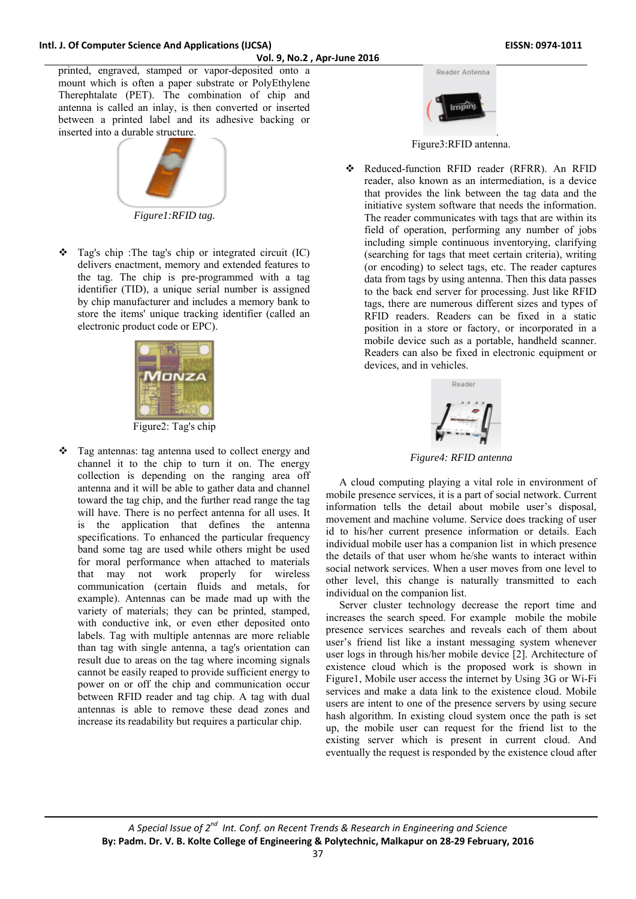printed, engraved, stamped or vapor-deposited onto a mount which is often a paper substrate or PolyEthylene Therephtalate (PET). The combination of chip and antenna is called an inlay, is then converted or inserted between a printed label and its adhesive backing or inserted into a durable structure.



*Figure1:RFID tag.* 

 $\div$  Tag's chip : The tag's chip or integrated circuit (IC) delivers enactment, memory and extended features to the tag. The chip is pre-programmed with a tag identifier (TID), a unique serial number is assigned by chip manufacturer and includes a memory bank to store the items' unique tracking identifier (called an electronic product code or EPC).



 Tag antennas: tag antenna used to collect energy and channel it to the chip to turn it on. The energy collection is depending on the ranging area off antenna and it will be able to gather data and channel toward the tag chip, and the further read range the tag will have. There is no perfect antenna for all uses. It is the application that defines the antenna specifications. To enhanced the particular frequency band some tag are used while others might be used for moral performance when attached to materials that may not work properly for wireless communication (certain fluids and metals, for example). Antennas can be made mad up with the variety of materials; they can be printed, stamped, with conductive ink, or even ether deposited onto labels. Tag with multiple antennas are more reliable than tag with single antenna, a tag's orientation can result due to areas on the tag where incoming signals cannot be easily reaped to provide sufficient energy to power on or off the chip and communication occur between RFID reader and tag chip. A tag with dual antennas is able to remove these dead zones and increase its readability but requires a particular chip.



Figure3:RFID antenna.

 Reduced-function RFID reader (RFRR). An RFID reader, also known as an intermediation, is a device that provides the link between the tag data and the initiative system software that needs the information. The reader communicates with tags that are within its field of operation, performing any number of jobs including simple continuous inventorying, clarifying (searching for tags that meet certain criteria), writing (or encoding) to select tags, etc. The reader captures data from tags by using antenna. Then this data passes to the back end server for processing. Just like RFID tags, there are numerous different sizes and types of RFID readers. Readers can be fixed in a static position in a store or factory, or incorporated in a mobile device such as a portable, handheld scanner. Readers can also be fixed in electronic equipment or devices, and in vehicles.



*Figure4: RFID antenna* 

 A cloud computing playing a vital role in environment of mobile presence services, it is a part of social network. Current information tells the detail about mobile user's disposal, movement and machine volume. Service does tracking of user id to his/her current presence information or details. Each individual mobile user has a companion list in which presence the details of that user whom he/she wants to interact within social network services. When a user moves from one level to other level, this change is naturally transmitted to each individual on the companion list.

 Server cluster technology decrease the report time and increases the search speed. For example mobile the mobile presence services searches and reveals each of them about user's friend list like a instant messaging system whenever user logs in through his/her mobile device [2]. Architecture of existence cloud which is the proposed work is shown in Figure1, Mobile user access the internet by Using 3G or Wi-Fi services and make a data link to the existence cloud. Mobile users are intent to one of the presence servers by using secure hash algorithm. In existing cloud system once the path is set up, the mobile user can request for the friend list to the existing server which is present in current cloud. And eventually the request is responded by the existence cloud after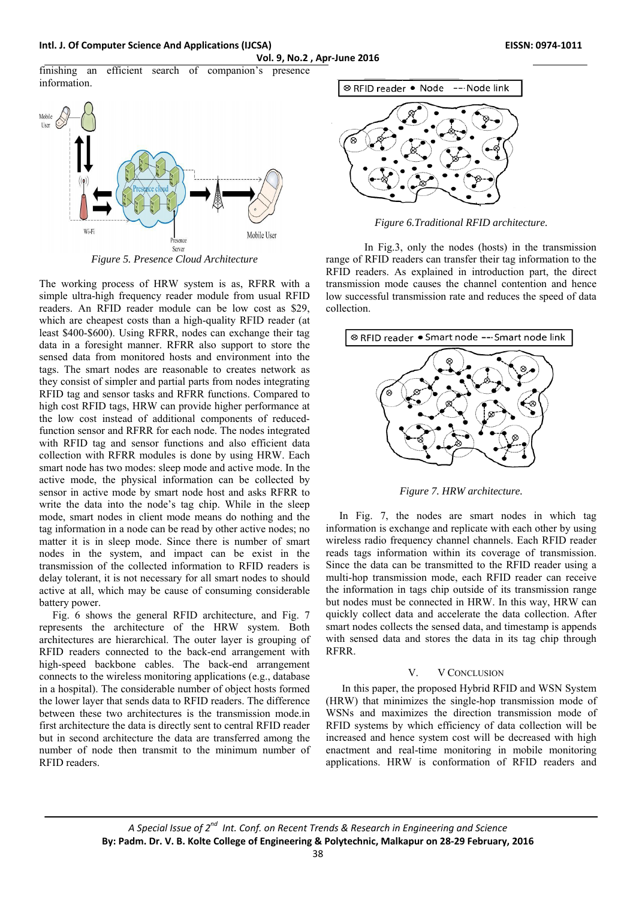finishing an efficient search of companion's presence information.



The working process of HRW system is as, RFRR with a simple ultra-high frequency reader module from usual RFID readers. An RFID reader module can be low cost as \$29, which are cheapest costs than a high-quality RFID reader (at least \$400-\$600). Using RFRR, nodes can exchange their tag data in a foresight manner. RFRR also support to store the sensed data from monitored hosts and environment into the tags. The smart nodes are reasonable to creates network as they consist of simpler and partial parts from nodes integrating RFID tag and sensor tasks and RFRR functions. Compared to high cost RFID tags, HRW can provide higher performance at the low cost instead of additional components of reducedfunction sensor and RFRR for each node. The nodes integrated with RFID tag and sensor functions and also efficient data collection with RFRR modules is done by using HRW. Each smart node has two modes: sleep mode and active mode. In the active mode, the physical information can be collected by sensor in active mode by smart node host and asks RFRR to write the data into the node's tag chip. While in the sleep mode, smart nodes in client mode means do nothing and the tag information in a node can be read by other active nodes; no matter it is in sleep mode. Since there is number of smart nodes in the system, and impact can be exist in the transmission of the collected information to RFID readers is delay tolerant, it is not necessary for all smart nodes to should active at all, which may be cause of consuming considerable battery power.

 Fig. 6 shows the general RFID architecture, and Fig. 7 represents the architecture of the HRW system. Both architectures are hierarchical. The outer layer is grouping of RFID readers connected to the back-end arrangement with high-speed backbone cables. The back-end arrangement connects to the wireless monitoring applications (e.g., database in a hospital). The considerable number of object hosts formed the lower layer that sends data to RFID readers. The difference between these two architectures is the transmission mode.in first architecture the data is directly sent to central RFID reader but in second architecture the data are transferred among the number of node then transmit to the minimum number of RFID readers.



*Figure 6.Traditional RFID architecture.* 

In Fig.3, only the nodes (hosts) in the transmission range of RFID readers can transfer their tag information to the RFID readers. As explained in introduction part, the direct transmission mode causes the channel contention and hence low successful transmission rate and reduces the speed of data collection.



*Figure 7. HRW architecture.* 

 In Fig. 7, the nodes are smart nodes in which tag information is exchange and replicate with each other by using wireless radio frequency channel channels. Each RFID reader reads tags information within its coverage of transmission. Since the data can be transmitted to the RFID reader using a multi-hop transmission mode, each RFID reader can receive the information in tags chip outside of its transmission range but nodes must be connected in HRW. In this way, HRW can quickly collect data and accelerate the data collection. After smart nodes collects the sensed data, and timestamp is appends with sensed data and stores the data in its tag chip through RFRR.

### V. V CONCLUSION

 In this paper, the proposed Hybrid RFID and WSN System (HRW) that minimizes the single-hop transmission mode of WSNs and maximizes the direction transmission mode of RFID systems by which efficiency of data collection will be increased and hence system cost will be decreased with high enactment and real-time monitoring in mobile monitoring applications. HRW is conformation of RFID readers and